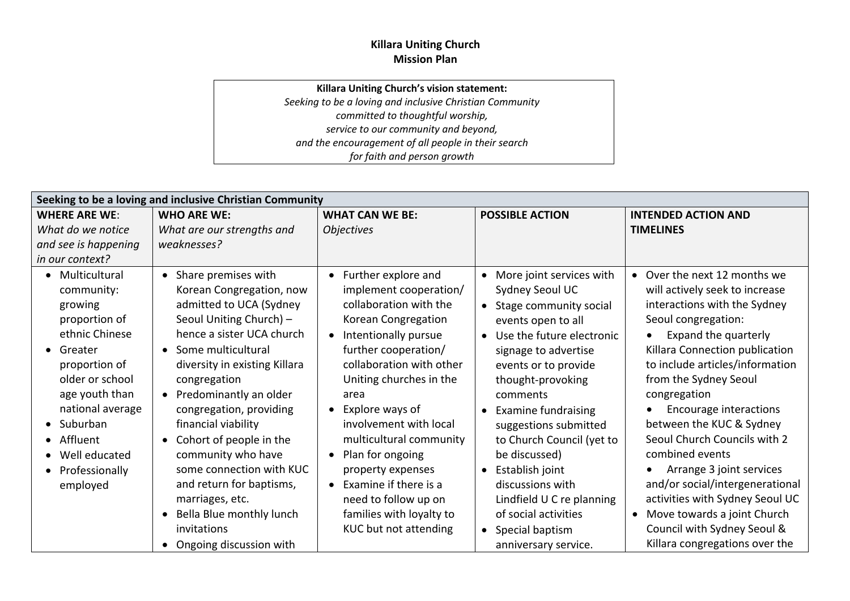## **Killara Uniting Church Mission Plan**

## **Killara Uniting Church's vision statement:**

*Seeking to be a loving and inclusive Christian Community committed to thoughtful worship, service to our community and beyond, and the encouragement of all people in their search for faith and person growth*

| Seeking to be a loving and inclusive Christian Community                                                                                                                                                                                                                                    |                                                                                                                                                                                                                                                                                                                                                                                                                                                                                                                    |                                                                                                                                                                                                                                                                                                                                                                                                                                                                  |                                                                                                                                                                                                                                                                                                                                                                                                                                                         |                                                                                                                                                                                                                                                                                                                                                                                                                                                                                                                                        |
|---------------------------------------------------------------------------------------------------------------------------------------------------------------------------------------------------------------------------------------------------------------------------------------------|--------------------------------------------------------------------------------------------------------------------------------------------------------------------------------------------------------------------------------------------------------------------------------------------------------------------------------------------------------------------------------------------------------------------------------------------------------------------------------------------------------------------|------------------------------------------------------------------------------------------------------------------------------------------------------------------------------------------------------------------------------------------------------------------------------------------------------------------------------------------------------------------------------------------------------------------------------------------------------------------|---------------------------------------------------------------------------------------------------------------------------------------------------------------------------------------------------------------------------------------------------------------------------------------------------------------------------------------------------------------------------------------------------------------------------------------------------------|----------------------------------------------------------------------------------------------------------------------------------------------------------------------------------------------------------------------------------------------------------------------------------------------------------------------------------------------------------------------------------------------------------------------------------------------------------------------------------------------------------------------------------------|
| <b>WHERE ARE WE:</b><br>What do we notice<br>and see is happening<br>in our context?                                                                                                                                                                                                        | <b>WHO ARE WE:</b><br>What are our strengths and<br>weaknesses?                                                                                                                                                                                                                                                                                                                                                                                                                                                    | <b>WHAT CAN WE BE:</b><br><b>Objectives</b>                                                                                                                                                                                                                                                                                                                                                                                                                      | <b>POSSIBLE ACTION</b>                                                                                                                                                                                                                                                                                                                                                                                                                                  | <b>INTENDED ACTION AND</b><br><b>TIMELINES</b>                                                                                                                                                                                                                                                                                                                                                                                                                                                                                         |
| • Multicultural<br>community:<br>growing<br>proportion of<br>ethnic Chinese<br>Greater<br>$\bullet$<br>proportion of<br>older or school<br>age youth than<br>national average<br>Suburban<br>$\bullet$<br>Affluent<br>Well educated<br>$\bullet$<br>Professionally<br>$\bullet$<br>employed | • Share premises with<br>Korean Congregation, now<br>admitted to UCA (Sydney<br>Seoul Uniting Church) -<br>hence a sister UCA church<br>Some multicultural<br>$\bullet$<br>diversity in existing Killara<br>congregation<br>Predominantly an older<br>$\bullet$<br>congregation, providing<br>financial viability<br>Cohort of people in the<br>$\bullet$<br>community who have<br>some connection with KUC<br>and return for baptisms,<br>marriages, etc.<br>Bella Blue monthly lunch<br>$\bullet$<br>invitations | • Further explore and<br>implement cooperation/<br>collaboration with the<br>Korean Congregation<br>Intentionally pursue<br>$\bullet$<br>further cooperation/<br>collaboration with other<br>Uniting churches in the<br>area<br>Explore ways of<br>involvement with local<br>multicultural community<br>Plan for ongoing<br>property expenses<br>Examine if there is a<br>$\bullet$<br>need to follow up on<br>families with loyalty to<br>KUC but not attending | More joint services with<br>$\bullet$<br>Sydney Seoul UC<br>Stage community social<br>events open to all<br>Use the future electronic<br>signage to advertise<br>events or to provide<br>thought-provoking<br>comments<br><b>Examine fundraising</b><br>suggestions submitted<br>to Church Council (yet to<br>be discussed)<br>Establish joint<br>discussions with<br>Lindfield U C re planning<br>of social activities<br>Special baptism<br>$\bullet$ | • Over the next 12 months we<br>will actively seek to increase<br>interactions with the Sydney<br>Seoul congregation:<br>Expand the quarterly<br>Killara Connection publication<br>to include articles/information<br>from the Sydney Seoul<br>congregation<br>Encourage interactions<br>between the KUC & Sydney<br>Seoul Church Councils with 2<br>combined events<br>Arrange 3 joint services<br>and/or social/intergenerational<br>activities with Sydney Seoul UC<br>• Move towards a joint Church<br>Council with Sydney Seoul & |
|                                                                                                                                                                                                                                                                                             | Ongoing discussion with                                                                                                                                                                                                                                                                                                                                                                                                                                                                                            |                                                                                                                                                                                                                                                                                                                                                                                                                                                                  | anniversary service.                                                                                                                                                                                                                                                                                                                                                                                                                                    | Killara congregations over the                                                                                                                                                                                                                                                                                                                                                                                                                                                                                                         |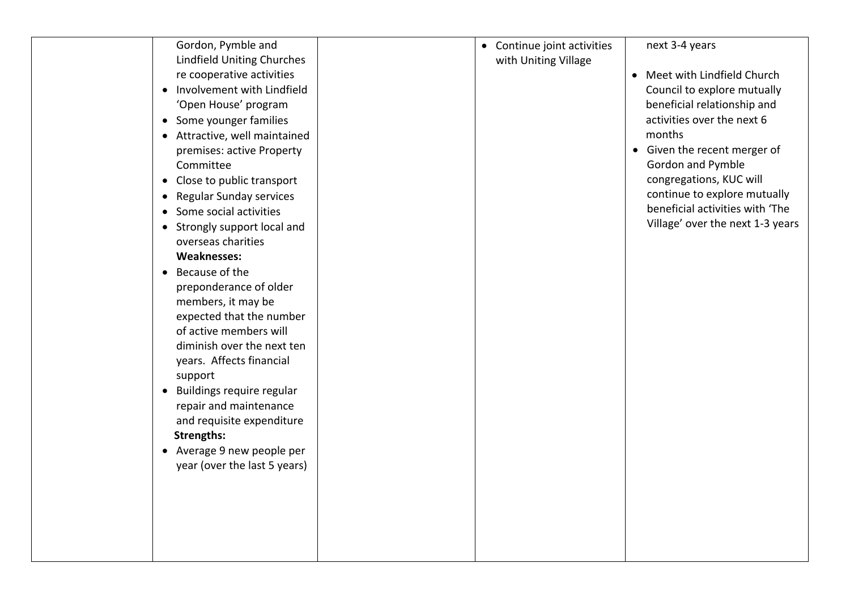| Gordon, Pymble and                          | • Continue joint activities | next 3-4 years                   |
|---------------------------------------------|-----------------------------|----------------------------------|
| <b>Lindfield Uniting Churches</b>           | with Uniting Village        |                                  |
| re cooperative activities                   |                             | • Meet with Lindfield Church     |
| Involvement with Lindfield<br>$\bullet$     |                             | Council to explore mutually      |
| 'Open House' program                        |                             | beneficial relationship and      |
| • Some younger families                     |                             | activities over the next 6       |
| • Attractive, well maintained               |                             | months                           |
| premises: active Property                   |                             | • Given the recent merger of     |
| Committee                                   |                             | Gordon and Pymble                |
| Close to public transport<br>$\bullet$      |                             | congregations, KUC will          |
| <b>Regular Sunday services</b><br>$\bullet$ |                             | continue to explore mutually     |
| Some social activities<br>$\bullet$         |                             | beneficial activities with 'The  |
| Strongly support local and<br>$\bullet$     |                             | Village' over the next 1-3 years |
| overseas charities                          |                             |                                  |
| <b>Weaknesses:</b>                          |                             |                                  |
| Because of the<br>$\bullet$                 |                             |                                  |
| preponderance of older                      |                             |                                  |
| members, it may be                          |                             |                                  |
| expected that the number                    |                             |                                  |
| of active members will                      |                             |                                  |
| diminish over the next ten                  |                             |                                  |
| years. Affects financial                    |                             |                                  |
| support                                     |                             |                                  |
| Buildings require regular<br>$\bullet$      |                             |                                  |
| repair and maintenance                      |                             |                                  |
| and requisite expenditure                   |                             |                                  |
| <b>Strengths:</b>                           |                             |                                  |
| • Average 9 new people per                  |                             |                                  |
| year (over the last 5 years)                |                             |                                  |
|                                             |                             |                                  |
|                                             |                             |                                  |
|                                             |                             |                                  |
|                                             |                             |                                  |
|                                             |                             |                                  |
|                                             |                             |                                  |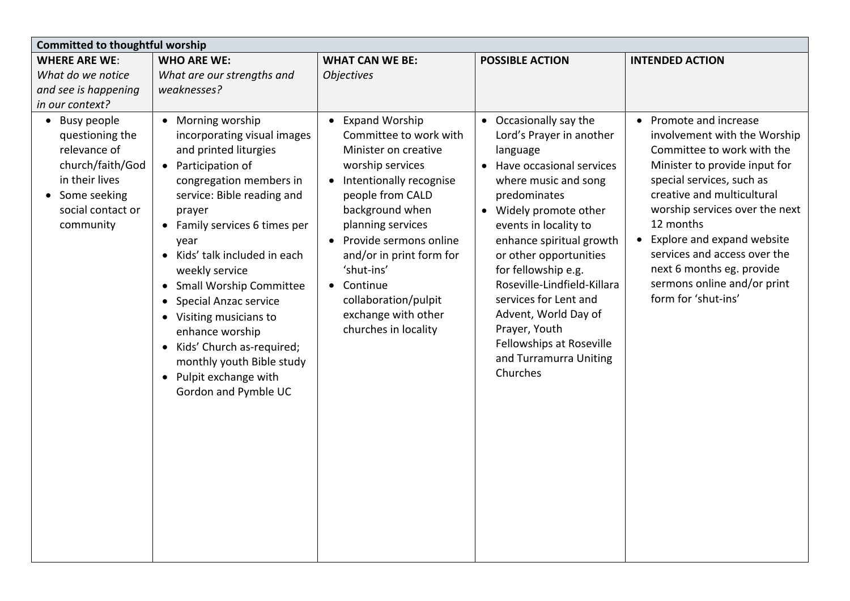| <b>Committed to thoughtful worship</b>                                                                                                                |                                                                                                                                                                                                                                                                                                                                                                                                                                                                                                                        |                                                                                                                                                                                                                                                                                                                                                          |                                                                                                                                                                                                                                                                                                                                                                                                                                                    |                                                                                                                                                                                                                                                                                                                                                                                    |  |
|-------------------------------------------------------------------------------------------------------------------------------------------------------|------------------------------------------------------------------------------------------------------------------------------------------------------------------------------------------------------------------------------------------------------------------------------------------------------------------------------------------------------------------------------------------------------------------------------------------------------------------------------------------------------------------------|----------------------------------------------------------------------------------------------------------------------------------------------------------------------------------------------------------------------------------------------------------------------------------------------------------------------------------------------------------|----------------------------------------------------------------------------------------------------------------------------------------------------------------------------------------------------------------------------------------------------------------------------------------------------------------------------------------------------------------------------------------------------------------------------------------------------|------------------------------------------------------------------------------------------------------------------------------------------------------------------------------------------------------------------------------------------------------------------------------------------------------------------------------------------------------------------------------------|--|
| <b>WHERE ARE WE:</b><br>What do we notice                                                                                                             | <b>WHO ARE WE:</b><br>What are our strengths and                                                                                                                                                                                                                                                                                                                                                                                                                                                                       | <b>WHAT CAN WE BE:</b><br><b>Objectives</b>                                                                                                                                                                                                                                                                                                              | <b>POSSIBLE ACTION</b>                                                                                                                                                                                                                                                                                                                                                                                                                             | <b>INTENDED ACTION</b>                                                                                                                                                                                                                                                                                                                                                             |  |
| and see is happening                                                                                                                                  | weaknesses?                                                                                                                                                                                                                                                                                                                                                                                                                                                                                                            |                                                                                                                                                                                                                                                                                                                                                          |                                                                                                                                                                                                                                                                                                                                                                                                                                                    |                                                                                                                                                                                                                                                                                                                                                                                    |  |
| in our context?                                                                                                                                       |                                                                                                                                                                                                                                                                                                                                                                                                                                                                                                                        |                                                                                                                                                                                                                                                                                                                                                          |                                                                                                                                                                                                                                                                                                                                                                                                                                                    |                                                                                                                                                                                                                                                                                                                                                                                    |  |
| • Busy people<br>questioning the<br>relevance of<br>church/faith/God<br>in their lives<br>Some seeking<br>$\bullet$<br>social contact or<br>community | • Morning worship<br>incorporating visual images<br>and printed liturgies<br>• Participation of<br>congregation members in<br>service: Bible reading and<br>prayer<br>• Family services 6 times per<br>year<br>Kids' talk included in each<br>weekly service<br><b>Small Worship Committee</b><br>$\bullet$<br>Special Anzac service<br>$\bullet$<br>• Visiting musicians to<br>enhance worship<br>Kids' Church as-required;<br>monthly youth Bible study<br>Pulpit exchange with<br>$\bullet$<br>Gordon and Pymble UC | <b>Expand Worship</b><br>$\bullet$<br>Committee to work with<br>Minister on creative<br>worship services<br>Intentionally recognise<br>people from CALD<br>background when<br>planning services<br>• Provide sermons online<br>and/or in print form for<br>'shut-ins'<br>Continue<br>collaboration/pulpit<br>exchange with other<br>churches in locality | • Occasionally say the<br>Lord's Prayer in another<br>language<br>Have occasional services<br>$\bullet$<br>where music and song<br>predominates<br>• Widely promote other<br>events in locality to<br>enhance spiritual growth<br>or other opportunities<br>for fellowship e.g.<br>Roseville-Lindfield-Killara<br>services for Lent and<br>Advent, World Day of<br>Prayer, Youth<br>Fellowships at Roseville<br>and Turramurra Uniting<br>Churches | • Promote and increase<br>involvement with the Worship<br>Committee to work with the<br>Minister to provide input for<br>special services, such as<br>creative and multicultural<br>worship services over the next<br>12 months<br>• Explore and expand website<br>services and access over the<br>next 6 months eg. provide<br>sermons online and/or print<br>form for 'shut-ins' |  |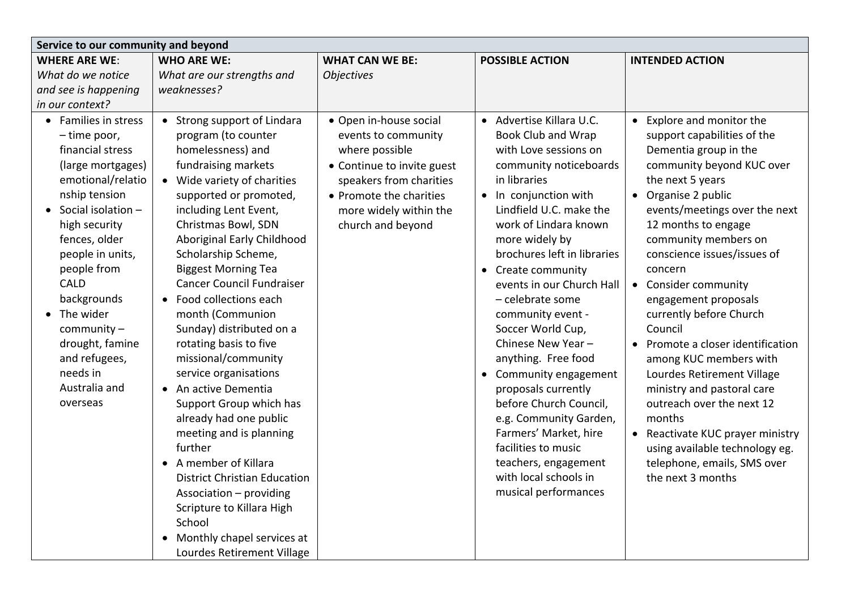| Service to our community and beyond                                                                                                                                                                                                                                                                                                                                 |                                                                                                                                                                                                                                                                                                                                                                                                                                                                                                                                                                                                                                                                                                                                                                                                             |                                                                                                                                                                                                    |                                                                                                                                                                                                                                                                                                                                                                                                                                                                                                                                                                                                                                                 |                                                                                                                                                                                                                                                                                                                                                                                                                                                                                                                                                                                                                                                                       |  |
|---------------------------------------------------------------------------------------------------------------------------------------------------------------------------------------------------------------------------------------------------------------------------------------------------------------------------------------------------------------------|-------------------------------------------------------------------------------------------------------------------------------------------------------------------------------------------------------------------------------------------------------------------------------------------------------------------------------------------------------------------------------------------------------------------------------------------------------------------------------------------------------------------------------------------------------------------------------------------------------------------------------------------------------------------------------------------------------------------------------------------------------------------------------------------------------------|----------------------------------------------------------------------------------------------------------------------------------------------------------------------------------------------------|-------------------------------------------------------------------------------------------------------------------------------------------------------------------------------------------------------------------------------------------------------------------------------------------------------------------------------------------------------------------------------------------------------------------------------------------------------------------------------------------------------------------------------------------------------------------------------------------------------------------------------------------------|-----------------------------------------------------------------------------------------------------------------------------------------------------------------------------------------------------------------------------------------------------------------------------------------------------------------------------------------------------------------------------------------------------------------------------------------------------------------------------------------------------------------------------------------------------------------------------------------------------------------------------------------------------------------------|--|
| <b>WHERE ARE WE:</b>                                                                                                                                                                                                                                                                                                                                                | <b>WHO ARE WE:</b>                                                                                                                                                                                                                                                                                                                                                                                                                                                                                                                                                                                                                                                                                                                                                                                          | <b>WHAT CAN WE BE:</b>                                                                                                                                                                             | <b>POSSIBLE ACTION</b>                                                                                                                                                                                                                                                                                                                                                                                                                                                                                                                                                                                                                          | <b>INTENDED ACTION</b>                                                                                                                                                                                                                                                                                                                                                                                                                                                                                                                                                                                                                                                |  |
| What do we notice                                                                                                                                                                                                                                                                                                                                                   | What are our strengths and                                                                                                                                                                                                                                                                                                                                                                                                                                                                                                                                                                                                                                                                                                                                                                                  | <b>Objectives</b>                                                                                                                                                                                  |                                                                                                                                                                                                                                                                                                                                                                                                                                                                                                                                                                                                                                                 |                                                                                                                                                                                                                                                                                                                                                                                                                                                                                                                                                                                                                                                                       |  |
| and see is happening                                                                                                                                                                                                                                                                                                                                                | weaknesses?                                                                                                                                                                                                                                                                                                                                                                                                                                                                                                                                                                                                                                                                                                                                                                                                 |                                                                                                                                                                                                    |                                                                                                                                                                                                                                                                                                                                                                                                                                                                                                                                                                                                                                                 |                                                                                                                                                                                                                                                                                                                                                                                                                                                                                                                                                                                                                                                                       |  |
| in our context?                                                                                                                                                                                                                                                                                                                                                     |                                                                                                                                                                                                                                                                                                                                                                                                                                                                                                                                                                                                                                                                                                                                                                                                             |                                                                                                                                                                                                    |                                                                                                                                                                                                                                                                                                                                                                                                                                                                                                                                                                                                                                                 |                                                                                                                                                                                                                                                                                                                                                                                                                                                                                                                                                                                                                                                                       |  |
| • Families in stress<br>- time poor,<br>financial stress<br>(large mortgages)<br>emotional/relatio<br>nship tension<br>$\bullet$ Social isolation -<br>high security<br>fences, older<br>people in units,<br>people from<br><b>CALD</b><br>backgrounds<br>• The wider<br>community $-$<br>drought, famine<br>and refugees,<br>needs in<br>Australia and<br>overseas | • Strong support of Lindara<br>program (to counter<br>homelessness) and<br>fundraising markets<br>• Wide variety of charities<br>supported or promoted,<br>including Lent Event,<br>Christmas Bowl, SDN<br>Aboriginal Early Childhood<br>Scholarship Scheme,<br><b>Biggest Morning Tea</b><br><b>Cancer Council Fundraiser</b><br>Food collections each<br>$\bullet$<br>month (Communion<br>Sunday) distributed on a<br>rotating basis to five<br>missional/community<br>service organisations<br>An active Dementia<br>Support Group which has<br>already had one public<br>meeting and is planning<br>further<br>A member of Killara<br><b>District Christian Education</b><br>Association - providing<br>Scripture to Killara High<br>School<br>Monthly chapel services at<br>Lourdes Retirement Village | • Open in-house social<br>events to community<br>where possible<br>• Continue to invite guest<br>speakers from charities<br>• Promote the charities<br>more widely within the<br>church and beyond | • Advertise Killara U.C.<br><b>Book Club and Wrap</b><br>with Love sessions on<br>community noticeboards<br>in libraries<br>• In conjunction with<br>Lindfield U.C. make the<br>work of Lindara known<br>more widely by<br>brochures left in libraries<br>Create community<br>events in our Church Hall<br>- celebrate some<br>community event -<br>Soccer World Cup,<br>Chinese New Year-<br>anything. Free food<br>• Community engagement<br>proposals currently<br>before Church Council,<br>e.g. Community Garden,<br>Farmers' Market, hire<br>facilities to music<br>teachers, engagement<br>with local schools in<br>musical performances | • Explore and monitor the<br>support capabilities of the<br>Dementia group in the<br>community beyond KUC over<br>the next 5 years<br>• Organise 2 public<br>events/meetings over the next<br>12 months to engage<br>community members on<br>conscience issues/issues of<br>concern<br>• Consider community<br>engagement proposals<br>currently before Church<br>Council<br>• Promote a closer identification<br>among KUC members with<br>Lourdes Retirement Village<br>ministry and pastoral care<br>outreach over the next 12<br>months<br>• Reactivate KUC prayer ministry<br>using available technology eg.<br>telephone, emails, SMS over<br>the next 3 months |  |